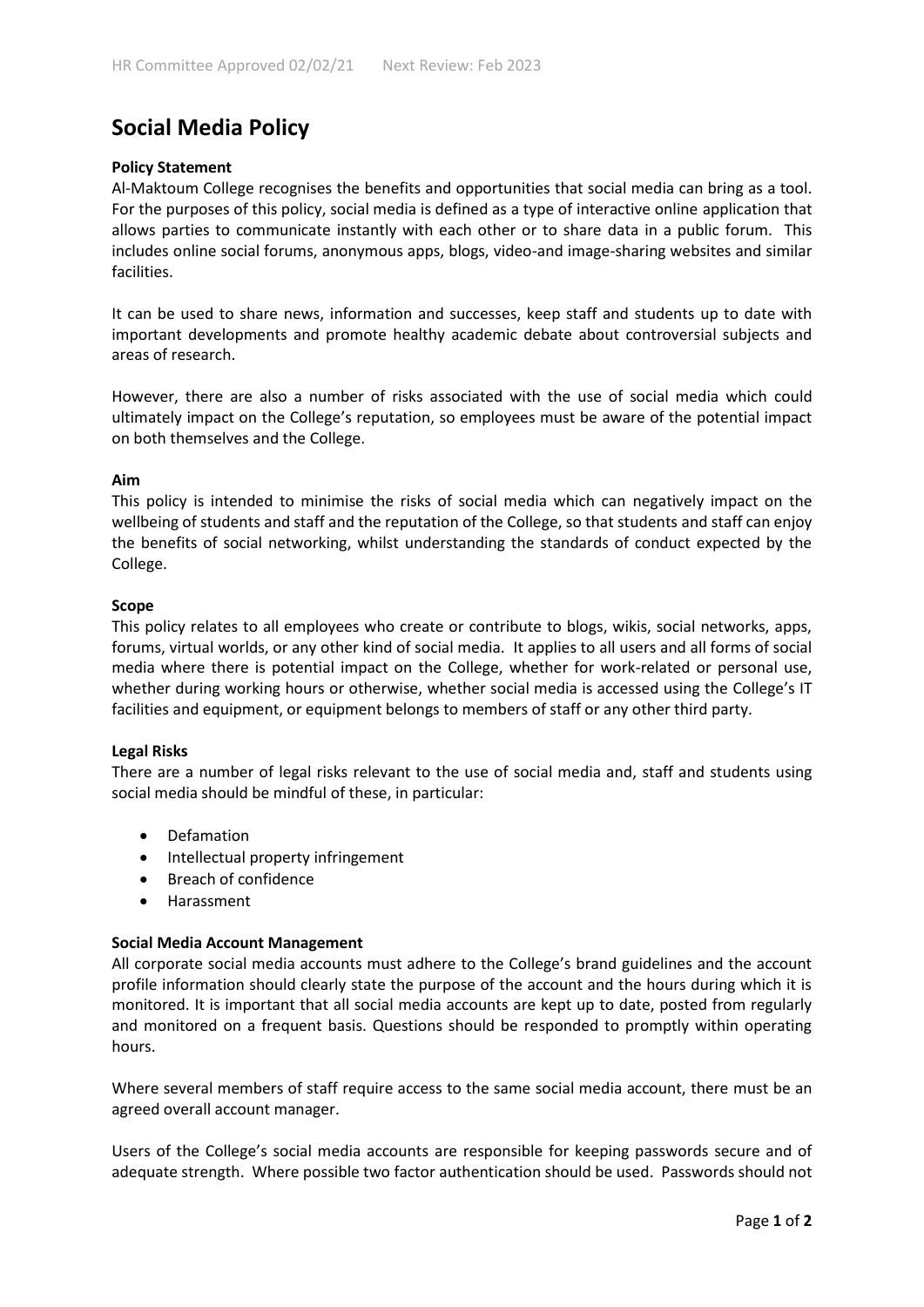# **Social Media Policy**

# **Policy Statement**

Al-Maktoum College recognises the benefits and opportunities that social media can bring as a tool. For the purposes of this policy, social media is defined as a type of interactive online application that allows parties to communicate instantly with each other or to share data in a public forum. This includes online social forums, anonymous apps, blogs, video-and image-sharing websites and similar facilities.

It can be used to share news, information and successes, keep staff and students up to date with important developments and promote healthy academic debate about controversial subjects and areas of research.

However, there are also a number of risks associated with the use of social media which could ultimately impact on the College's reputation, so employees must be aware of the potential impact on both themselves and the College.

## **Aim**

This policy is intended to minimise the risks of social media which can negatively impact on the wellbeing of students and staff and the reputation of the College, so that students and staff can enjoy the benefits of social networking, whilst understanding the standards of conduct expected by the College.

## **Scope**

This policy relates to all employees who create or contribute to blogs, wikis, social networks, apps, forums, virtual worlds, or any other kind of social media. It applies to all users and all forms of social media where there is potential impact on the College, whether for work-related or personal use, whether during working hours or otherwise, whether social media is accessed using the College's IT facilities and equipment, or equipment belongs to members of staff or any other third party.

#### **Legal Risks**

There are a number of legal risks relevant to the use of social media and, staff and students using social media should be mindful of these, in particular:

- Defamation
- Intellectual property infringement
- Breach of confidence
- Harassment

#### **Social Media Account Management**

All corporate social media accounts must adhere to the College's brand guidelines and the account profile information should clearly state the purpose of the account and the hours during which it is monitored. It is important that all social media accounts are kept up to date, posted from regularly and monitored on a frequent basis. Questions should be responded to promptly within operating hours.

Where several members of staff require access to the same social media account, there must be an agreed overall account manager.

Users of the College's social media accounts are responsible for keeping passwords secure and of adequate strength. Where possible two factor authentication should be used. Passwords should not